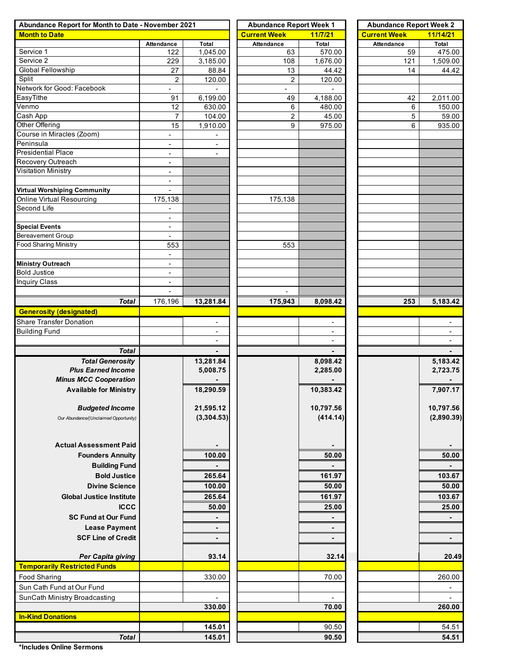| Abundance Report for Month to Date - November 2021 |                          |                          | <b>Abundance Report Week 1</b> |                          | <b>Abundance Report Week 2</b> |                          |  |  |  |  |
|----------------------------------------------------|--------------------------|--------------------------|--------------------------------|--------------------------|--------------------------------|--------------------------|--|--|--|--|
| <b>Month to Date</b>                               |                          |                          | <b>Current Week</b>            | 11/7/21                  | <b>Current Week</b>            | 11/14/21                 |  |  |  |  |
|                                                    | Attendance               | Total                    | <b>Attendance</b>              | Total                    | Attendance                     | Total                    |  |  |  |  |
| Service 1                                          | 122                      | 1,045.00                 | 63                             | 570.00                   | 59                             | 475.00                   |  |  |  |  |
| Service 2                                          | 229                      | 3,185.00                 | 108                            | 1,676.00                 | 121                            | 1,509.00                 |  |  |  |  |
| Global Fellowship                                  | 27                       | 88.84                    | 13                             | 44.42                    | 14                             | 44.42                    |  |  |  |  |
| Split                                              | $\overline{c}$           | 120.00                   | 2                              | 120.00                   |                                |                          |  |  |  |  |
| Network for Good: Facebook                         | $\overline{\phantom{a}}$ |                          |                                |                          |                                |                          |  |  |  |  |
| EasyTithe                                          | 91                       | 6,199.00                 | 49                             | 4,188.00                 | 42                             | 2,011.00                 |  |  |  |  |
| Venmo                                              | 12                       | 630.00                   | 6                              | 480.00                   | 6                              | 150.00                   |  |  |  |  |
| Cash App                                           | 7                        | 104.00                   | 2                              | 45.00                    | 5                              | 59.00                    |  |  |  |  |
| Other Offering                                     | 15                       | 1,910.00                 | 9                              | 975.00                   | 6                              | 935.00                   |  |  |  |  |
| Course in Miracles (Zoom)                          | $\blacksquare$           |                          |                                |                          |                                |                          |  |  |  |  |
| Peninsula                                          | $\overline{\phantom{a}}$ |                          |                                |                          |                                |                          |  |  |  |  |
| <b>Presidential Place</b>                          | $\blacksquare$           | $\overline{\phantom{0}}$ |                                |                          |                                |                          |  |  |  |  |
| Recovery Outreach                                  | $\overline{\phantom{a}}$ |                          |                                |                          |                                |                          |  |  |  |  |
| Visitation Ministry                                | $\overline{\phantom{a}}$ |                          |                                |                          |                                |                          |  |  |  |  |
|                                                    | $\overline{\phantom{a}}$ |                          |                                |                          |                                |                          |  |  |  |  |
| <b>Virtual Worshiping Community</b>                | $\overline{\phantom{a}}$ |                          |                                |                          |                                |                          |  |  |  |  |
| <b>Online Virtual Resourcing</b>                   | 175,138                  |                          | 175,138                        |                          |                                |                          |  |  |  |  |
| Second Life                                        | $\overline{\phantom{a}}$ |                          |                                |                          |                                |                          |  |  |  |  |
|                                                    | $\overline{\phantom{a}}$ |                          |                                |                          |                                |                          |  |  |  |  |
| <b>Special Events</b>                              | $\overline{\phantom{a}}$ |                          |                                |                          |                                |                          |  |  |  |  |
| <b>Bereavement Group</b>                           | $\overline{\phantom{a}}$ |                          |                                |                          |                                |                          |  |  |  |  |
| <b>Food Sharing Ministry</b>                       | 553                      |                          | 553                            |                          |                                |                          |  |  |  |  |
|                                                    | $\blacksquare$           |                          |                                |                          |                                |                          |  |  |  |  |
| <b>Ministry Outreach</b>                           | $\overline{\phantom{a}}$ |                          |                                |                          |                                |                          |  |  |  |  |
| <b>Bold Justice</b>                                | $\overline{\phantom{a}}$ |                          |                                |                          |                                |                          |  |  |  |  |
| <b>Inquiry Class</b>                               | $\overline{\phantom{a}}$ |                          |                                |                          |                                |                          |  |  |  |  |
|                                                    |                          |                          |                                |                          |                                |                          |  |  |  |  |
| <b>Total</b>                                       | 176,196                  | 13,281.84                | 175,943                        | 8,098.42                 | 253                            | 5,183.42                 |  |  |  |  |
| <b>Generosity (designated)</b>                     |                          |                          |                                |                          |                                |                          |  |  |  |  |
| <b>Share Transfer Donation</b>                     |                          |                          |                                | $\overline{\phantom{a}}$ |                                |                          |  |  |  |  |
| <b>Building Fund</b>                               |                          |                          |                                |                          |                                |                          |  |  |  |  |
|                                                    |                          | $\overline{a}$           |                                | $\blacksquare$           |                                | $\blacksquare$           |  |  |  |  |
| <b>Total</b>                                       |                          |                          |                                |                          |                                |                          |  |  |  |  |
| <b>Total Generosity</b>                            |                          | 13,281.84                |                                | 8,098.42                 |                                | 5,183.42                 |  |  |  |  |
| <b>Plus Earned Income</b>                          |                          | 5,008.75                 |                                | 2,285.00                 |                                | 2,723.75                 |  |  |  |  |
| <b>Minus MCC Cooperation</b>                       |                          |                          |                                |                          |                                |                          |  |  |  |  |
|                                                    |                          |                          |                                |                          |                                |                          |  |  |  |  |
| <b>Available for Ministry</b>                      |                          | 18,290.59                |                                | 10,383.42                |                                | 7,907.17                 |  |  |  |  |
|                                                    |                          | 21,595.12                |                                | 10,797.56                |                                | 10,797.56                |  |  |  |  |
| <b>Budgeted Income</b>                             |                          |                          |                                |                          |                                |                          |  |  |  |  |
| Our Abundance/(Unclaimed Opportunity)              |                          | (3,304.53)               |                                | (414.14)                 |                                | (2,890.39)               |  |  |  |  |
|                                                    |                          |                          |                                |                          |                                |                          |  |  |  |  |
|                                                    |                          |                          |                                |                          |                                |                          |  |  |  |  |
| <b>Actual Assessment Paid</b>                      |                          |                          |                                |                          |                                |                          |  |  |  |  |
| <b>Founders Annuity</b>                            |                          | 100.00                   |                                | 50.00                    |                                | 50.00                    |  |  |  |  |
| <b>Building Fund</b>                               |                          |                          |                                |                          |                                | $\blacksquare$           |  |  |  |  |
| <b>Bold Justice</b>                                |                          | 265.64                   |                                | 161.97                   |                                | 103.67                   |  |  |  |  |
| <b>Divine Science</b>                              |                          | 100.00                   |                                | 50.00                    |                                | 50.00                    |  |  |  |  |
| <b>Global Justice Institute</b>                    |                          | 265.64                   |                                | 161.97                   |                                | 103.67                   |  |  |  |  |
| <b>ICCC</b>                                        |                          | 50.00                    |                                | 25.00                    |                                | 25.00                    |  |  |  |  |
| <b>SC Fund at Our Fund</b>                         |                          |                          |                                |                          |                                |                          |  |  |  |  |
|                                                    |                          |                          |                                |                          |                                |                          |  |  |  |  |
| <b>Lease Payment</b>                               |                          | ٠                        |                                | ٠                        |                                |                          |  |  |  |  |
| <b>SCF Line of Credit</b>                          |                          | ٠                        |                                | $\blacksquare$           |                                | $\blacksquare$           |  |  |  |  |
|                                                    |                          |                          |                                |                          |                                |                          |  |  |  |  |
| Per Capita giving                                  |                          | 93.14                    |                                | 32.14                    |                                | 20.49                    |  |  |  |  |
| <b>Temporarily Restricted Funds</b>                |                          |                          |                                |                          |                                |                          |  |  |  |  |
| Food Sharing                                       |                          | 330.00                   |                                | 70.00                    |                                | 260.00                   |  |  |  |  |
| Sun Cath Fund at Our Fund                          |                          |                          |                                |                          |                                | ۰                        |  |  |  |  |
| SunCath Ministry Broadcasting                      |                          |                          |                                | $\overline{a}$           |                                | $\overline{\phantom{a}}$ |  |  |  |  |
|                                                    |                          | 330.00                   |                                | 70.00                    |                                | 260.00                   |  |  |  |  |
| <b>In-Kind Donations</b>                           |                          |                          |                                |                          |                                |                          |  |  |  |  |
|                                                    |                          | 145.01                   |                                | 90.50                    |                                | 54.51                    |  |  |  |  |
| <b>Total</b>                                       |                          | 145.01                   |                                | 90.50                    |                                | 54.51                    |  |  |  |  |
|                                                    |                          |                          |                                |                          |                                |                          |  |  |  |  |

**\*Includes Online Sermons**